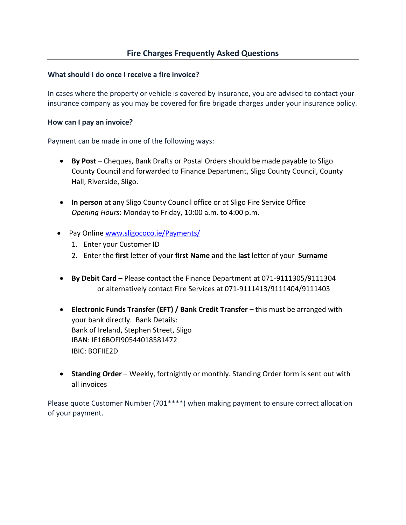### **What should I do once I receive a fire invoice?**

In cases where the property or vehicle is covered by insurance, you are advised to contact your insurance company as you may be covered for fire brigade charges under your insurance policy.

### **How can I pay an invoice?**

Payment can be made in one of the following ways:

- **By Post** Cheques, Bank Drafts or Postal Orders should be made payable to Sligo County Council and forwarded to Finance Department, Sligo County Council, County Hall, Riverside, Sligo.
- **In person** at any Sligo County Council office or at Sligo Fire Service Office *Opening Hours*: Monday to Friday, 10:00 a.m. to 4:00 p.m.
- Pay Online [www.sligococo.ie/Payments/](http://www.sligococo.ie/Payments/)
	- 1. Enter your Customer ID
	- 2. Enter the **first** letter of your **first Name** and the **last** letter of your **Surname**
- **By Debit Card** Please contact the Finance Department at 071-9111305/9111304 or alternatively contact Fire Services at 071-9111413/9111404/9111403
- **Electronic Funds Transfer (EFT) / Bank Credit Transfer** this must be arranged with your bank directly. Bank Details: Bank of Ireland, Stephen Street, Sligo IBAN: IE16BOFI90544018581472 IBIC: BOFIIE2D
- **Standing Order** Weekly, fortnightly or monthly. Standing Order form is sent out with all invoices

Please quote Customer Number (701\*\*\*\*) when making payment to ensure correct allocation of your payment.